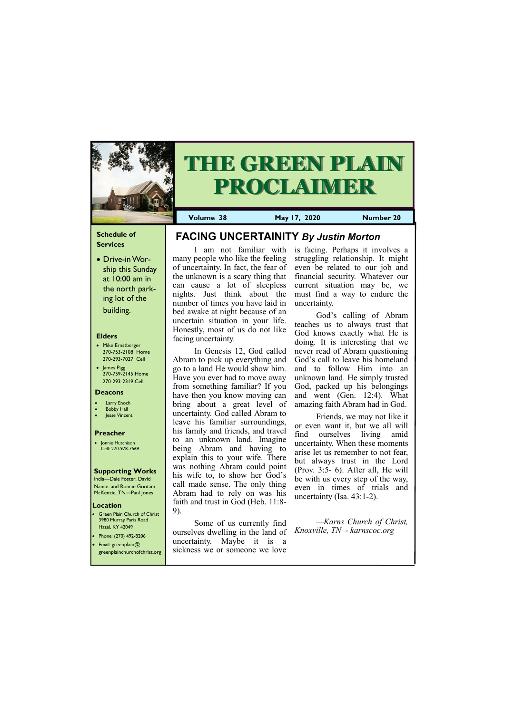### **Schedule of Services**

• Drive-in Worship this Sunday at 10:00 am in the north parking lot of the building.

#### **Elders**

Green Plain Church of Christ 3980 Murray Paris Road Hazel, KY 42049 • Phone: (270) 492-8206

- Mike Ernstberger 270-753-2108 Home 270-293-7027 Cell
- James Pigg 270-759-2145 Home 270-293-2319 Cell

#### **Location**



# **THE GREEN PLAIN PROCLAIMER**

**Volume 38 May 17, 2020 Number 20**

#### **Deacons**

- **Larry Enoch**
- **Bobby Hall**
- **Jesse Vincent**

#### **Preacher**

• Jonnie Hutchison Cell: 270-978-7569

#### **Supporting Works**

India—Dale Foster, David Nance. and Ronnie Gootam McKenzie, TN—Paul Jones

I am not familiar with many people who like the feeling of uncertainty. In fact, the fear of the unknown is a scary thing that can cause a lot of sleepless nights. Just think about the number of times you have laid in bed awake at night because of an uncertain situation in your life. Honestly, most of us do not like facing uncertainty.

| • Email: greenplain $@$<br>greenplainchurchofchrist.org | uncertainty. Maybe it is a<br>sickness we or someone we love |
|---------------------------------------------------------|--------------------------------------------------------------|
|                                                         |                                                              |

In Genesis 12, God called Abram to pick up everything and go to a land He would show him. Have you ever had to move away from something familiar? If you have then you know moving can bring about a great level of uncertainty. God called Abram to leave his familiar surroundings, his family and friends, and travel to an unknown land. Imagine being Abram and having to explain this to your wife. There was nothing Abram could point his wife to, to show her God's call made sense. The only thing Abram had to rely on was his faith and trust in God (Heb. 11:8- 9).

Some of us currently find ourselves dwelling in the land of is facing. Perhaps it involves a struggling relationship. It might even be related to our job and financial security. Whatever our current situation may be, we must find a way to endure the uncertainty.

God's calling of Abram teaches us to always trust that God knows exactly what He is doing. It is interesting that we never read of Abram questioning God's call to leave his homeland and to follow Him into an unknown land. He simply trusted God, packed up his belongings and went (Gen. 12:4). What amazing faith Abram had in God.

Friends, we may not like it or even want it, but we all will find ourselves living amid uncertainty. When these moments arise let us remember to not fear, but always trust in the Lord (Prov. 3:5- 6). After all, He will be with us every step of the way, even in times of trials and uncertainty (Isa. 43:1-2).

*—Karns Church of Christ, Knoxville, TN - karnscoc.org*

**FACING UNCERTAINITY** *By Justin Morton*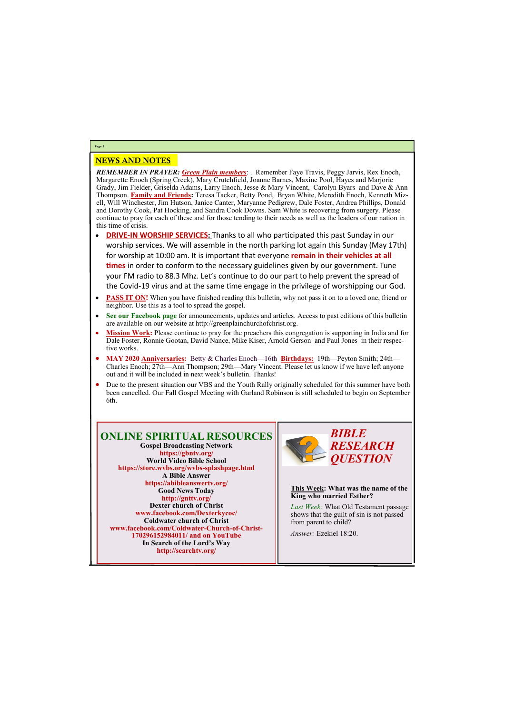## NEWS AND NOTES

*REMEMBER IN PRAYER: Green Plain members*: . Remember Faye Travis, Peggy Jarvis, Rex Enoch, Margarette Enoch (Spring Creek), Mary Crutchfield, Joanne Barnes, Maxine Pool, Hayes and Marjorie Grady, Jim Fielder, Griselda Adams, Larry Enoch, Jesse & Mary Vincent, Carolyn Byars and Dave & Ann Thompson. **Family and Friends:** Teresa Tacker, Betty Pond, Bryan White, Meredith Enoch, Kenneth Mizell, Will Winchester, Jim Hutson, Janice Canter, Maryanne Pedigrew, Dale Foster, Andrea Phillips, Donald and Dorothy Cook, Pat Hocking, and Sandra Cook Downs. Sam White is recovering from surgery. Please continue to pray for each of these and for those tending to their needs as well as the leaders of our nation in this time of crisis.

- **DRIVE-IN WORSHIP SERVICES:** Thanks to all who participated this past Sunday in our worship services. We will assemble in the north parking lot again this Sunday (May 17th) for worship at 10:00 am. It is important that everyone **remain in their vehicles at all times** in order to conform to the necessary guidelines given by our government. Tune your FM radio to 88.3 Mhz. Let's continue to do our part to help prevent the spread of the Covid-19 virus and at the same time engage in the privilege of worshipping our God.
- **PASS IT ON!** When you have finished reading this bulletin, why not pass it on to a loved one, friend or neighbor. Use this as a tool to spread the gospel.
- **See our Facebook page** for announcements, updates and articles. Access to past editions of this bulletin are available on our website at http://greenplainchurchofchrist.org.
- **Mission Work:** Please continue to pray for the preachers this congregation is supporting in India and for Dale Foster, Ronnie Gootan, David Nance, Mike Kiser, Arnold Gerson and Paul Jones in their respective works.
- **MAY 2020 Anniversaries:** Betty & Charles Enoch—16th **Birthdays:** 19th—Peyton Smith; 24th— Charles Enoch; 27th—Ann Thompson; 29th—Mary Vincent. Please let us know if we have left anyone out and it will be included in next week's bulletin. Thanks!
- Due to the present situation our VBS and the Youth Rally originally scheduled for this summer have both been cancelled. Our Fall Gospel Meeting with Garland Robinson is still scheduled to begin on September 6th.

#### **Page 2**

## **ONLINE SPIRITUAL RESOURCES**

**Gospel Broadcasting Network https://gbntv.org/ World Video Bible School https://store.wvbs.org/wvbs-splashpage.html A Bible Answer https://abibleanswertv.org/ Good News Today http://gnttv.org/ Dexter church of Christ www.facebook.com/Dexterkycoc/ Coldwater church of Christ www.facebook.com/Coldwater-Church-of-Christ-170296152984011/ and on YouTube**





**This Week: What was the name of the King who married Esther?**

*Last Week:* What Old Testament passage shows that the guilt of sin is not passed from parent to child?

*Answer:* Ezekiel 18:20.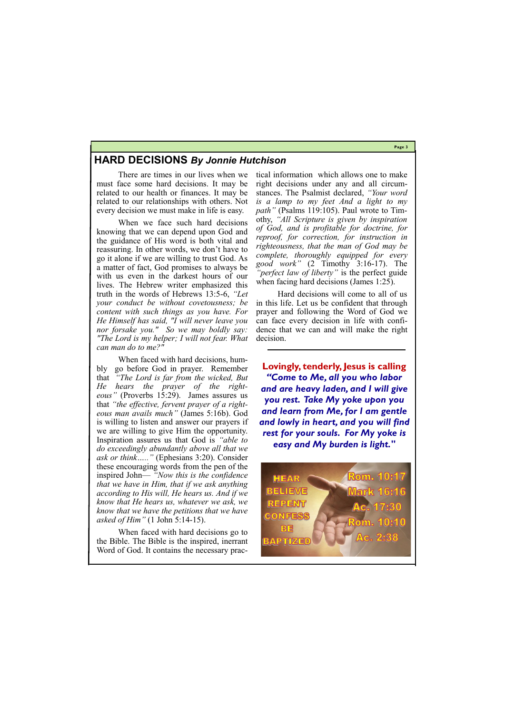**Page 3**



## **HARD DECISIONS** *By Jonnie Hutchison*

There are times in our lives when we must face some hard decisions. It may be related to our health or finances. It may be related to our relationships with others. Not every decision we must make in life is easy.

When we face such hard decisions knowing that we can depend upon God and the guidance of His word is both vital and reassuring. In other words, we don't have to go it alone if we are willing to trust God. As a matter of fact, God promises to always be with us even in the darkest hours of our lives. The Hebrew writer emphasized this truth in the words of Hebrews 13:5-6, *"Let your conduct be without covetousness; be content with such things as you have. For He Himself has said, "I will never leave you nor forsake you." So we may boldly say: "The Lord is my helper; I will not fear. What can man do to me?"* 

When faced with hard decisions, humbly go before God in prayer. Remember that *"The Lord is far from the wicked, But He hears the prayer of the righteous"* (Proverbs 15:29). James assures us that *"the effective, fervent prayer of a righteous man avails much"* (James 5:16b). God is willing to listen and answer our prayers if we are willing to give Him the opportunity. Inspiration assures us that God is *"able to do exceedingly abundantly above all that we ask or think….."* (Ephesians 3:20). Consider these encouraging words from the pen of the inspired John— *"Now this is the confidence that we have in Him, that if we ask anything according to His will, He hears us. And if we know that He hears us, whatever we ask, we know that we have the petitions that we have asked of Him"* (1 John 5:14-15).

When faced with hard decisions go to the Bible. The Bible is the inspired, inerrant Word of God. It contains the necessary practical information which allows one to make right decisions under any and all circumstances. The Psalmist declared, *"Your word is a lamp to my feet And a light to my path"* (Psalms 119:105). Paul wrote to Timothy, *"All Scripture is given by inspiration of God, and is profitable for doctrine, for reproof, for correction, for instruction in righteousness, that the man of God may be complete, thoroughly equipped for every good work"* (2 Timothy 3:16-17). The *"perfect law of liberty"* is the perfect guide when facing hard decisions (James 1:25).

Hard decisions will come to all of us in this life. Let us be confident that through prayer and following the Word of God we can face every decision in life with confidence that we can and will make the right decision.

**Lovingly, tenderly, Jesus is calling**  *"Come to Me, all you who labor and are heavy laden, and I will give you rest. Take My yoke upon you and learn from Me, for I am gentle and lowly in heart, and you will find rest for your souls. For My yoke is easy and My burden is light."*

**Rom. 10:17** HEAR **BELIEVE** REPENT **Ac. 17:30 CONFESS** m. 10:10 BE